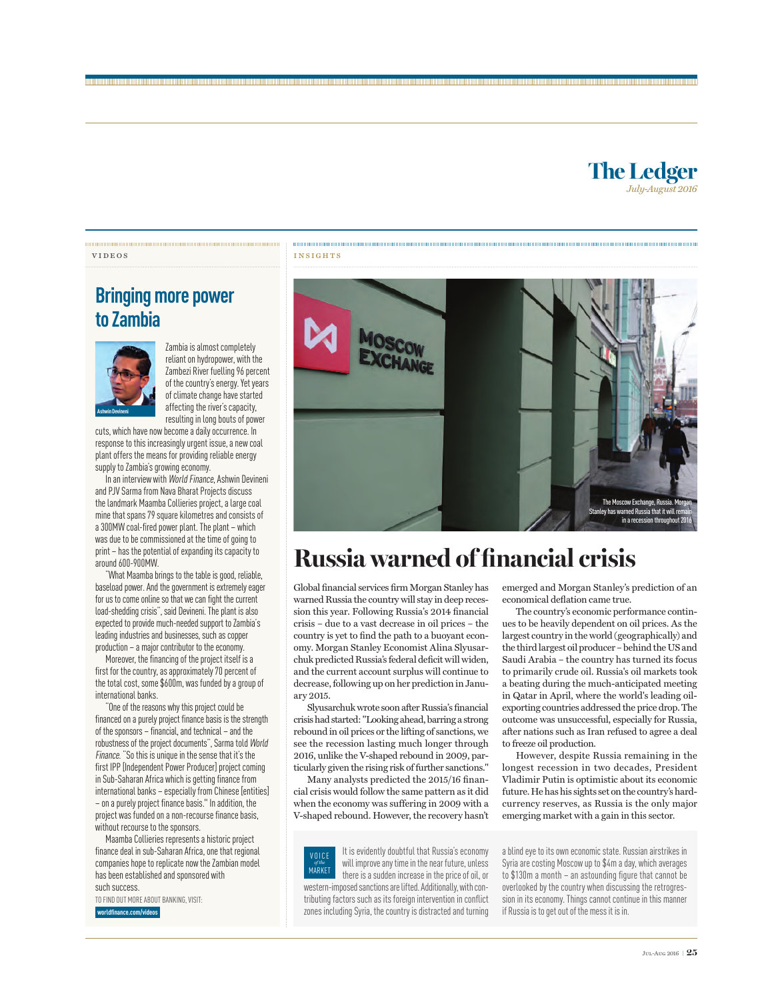## **Bringing more power to Zambia**



Zambia is almost completely reliant on hydropower, with the Zambezi River fuelling 96 percent of the country's energy. Yet years of climate change have started affecting the river's capacity, resulting in long bouts of power

cuts, which have now become a daily occurrence. In response to this increasingly urgent issue, a new coal plant offers the means for providing reliable energy supply to Zambia's growing economy.

In an interview with World Finance, Ashwin Devineni and PJV Sarma from Nava Bharat Projects discuss the landmark Maamba Collieries project, a large coal mine that spans 79 square kilometres and consists of a 300MW coal-fired power plant. The plant – which was due to be commissioned at the time of going to print – has the potential of expanding its capacity to around 600-900MW.

"What Maamba brings to the table is good, reliable, baseload power. And the government is extremely eager for us to come online so that we can fight the current load-shedding crisis", said Devineni. The plant is also expected to provide much-needed support to Zambia's leading industries and businesses, such as copper production – a major contributor to the economy.

Moreover, the financing of the project itself is a first for the country, as approximately 70 percent of the total cost, some \$600m, was funded by a group of international banks.

"One of the reasons why this project could be financed on a purely project finance basis is the strength of the sponsors – financial, and technical – and the robustness of the project documents", Sarma told World Finance. "So this is unique in the sense that it's the first IPP [Independent Power Producer] project coming in Sub-Saharan Africa which is getting finance from international banks – especially from Chinese [entities] – on a purely project finance basis." In addition, the project was funded on a non-recourse finance basis, without recourse to the sponsors.

Maamba Collieries represents a historic project finance deal in sub-Saharan Africa, one that regional companies hope to replicate now the Zambian model has been established and sponsored with such success.

TO FIND OUT MORE ABOUT BANKING, VISIT:

 **worldfinance.com/videos**